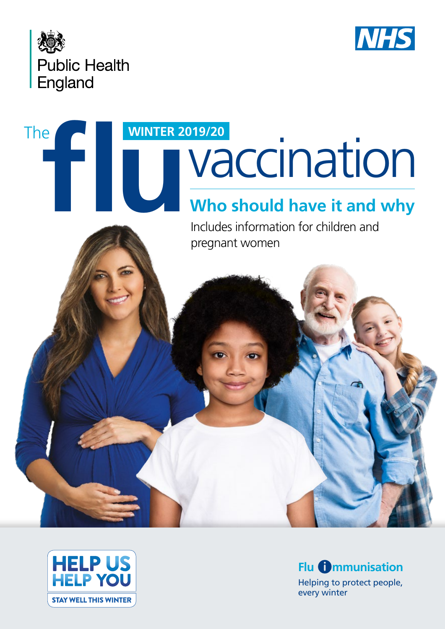



# **Who should have it and why** The **fluid WINTER 2019/20**<br>**MANUSIAN CONTROLL**

Includes information for children and pregnant women



Helping to protect people, every winter **Flu <b>mmunisation**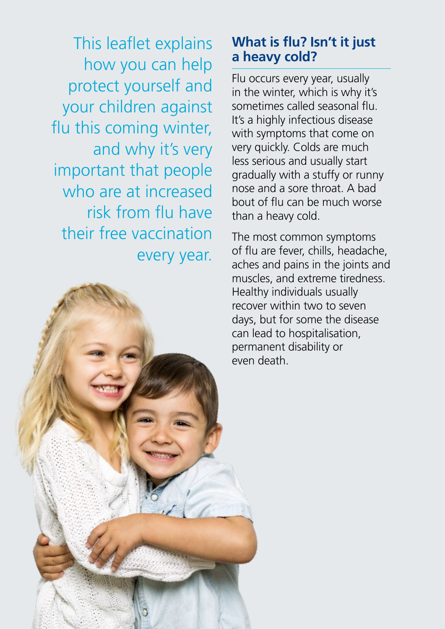This leaflet explains how you can help protect yourself and your children against flu this coming winter, and why it's very important that people who are at increased risk from flu have their free vaccination every year.



#### **What is flu? Isn't it just a heavy cold?**

Flu occurs every year, usually in the winter, which is why it's sometimes called seasonal flu. It's a highly infectious disease with symptoms that come on very quickly. Colds are much less serious and usually start gradually with a stuffy or runny nose and a sore throat. A bad bout of flu can be much worse than a heavy cold.

The most common symptoms of flu are fever, chills, headache, aches and pains in the joints and muscles, and extreme tiredness. Healthy individuals usually recover within two to seven days, but for some the disease can lead to hospitalisation, permanent disability or even death.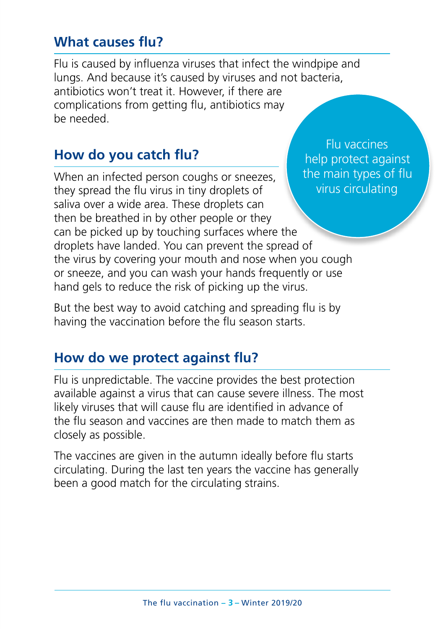#### **What causes flu?**

Flu is caused by influenza viruses that infect the windpipe and lungs. And because it's caused by viruses and not bacteria, antibiotics won't treat it. However, if there are complications from getting flu, antibiotics may be needed.

#### **How do you catch flu?**

When an infected person coughs or sneezes, they spread the flu virus in tiny droplets of saliva over a wide area. These droplets can then be breathed in by other people or they can be picked up by touching surfaces where the droplets have landed. You can prevent the spread of the virus by covering your mouth and nose when you cough or sneeze, and you can wash your hands frequently or use hand gels to reduce the risk of picking up the virus.

But the best way to avoid catching and spreading flu is by having the vaccination before the flu season starts.

#### **How do we protect against flu?**

Flu is unpredictable. The vaccine provides the best protection available against a virus that can cause severe illness. The most likely viruses that will cause flu are identified in advance of the flu season and vaccines are then made to match them as closely as possible.

The vaccines are given in the autumn ideally before flu starts circulating. During the last ten years the vaccine has generally been a good match for the circulating strains.

Flu vaccines help protect against the main types of flu virus circulating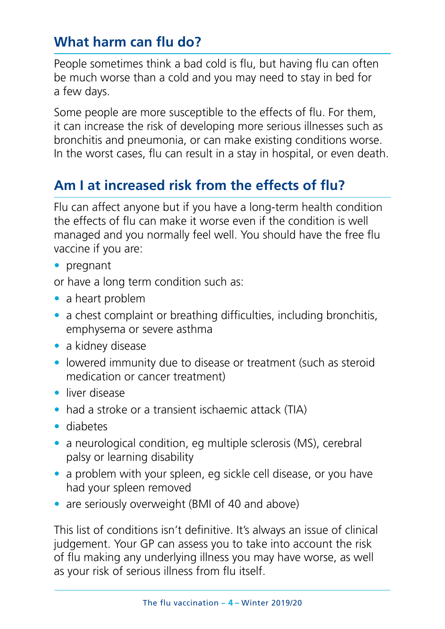# **What harm can flu do?**

People sometimes think a bad cold is flu, but having flu can often be much worse than a cold and you may need to stay in bed for a few days.

Some people are more susceptible to the effects of flu. For them, it can increase the risk of developing more serious illnesses such as bronchitis and pneumonia, or can make existing conditions worse. In the worst cases, flu can result in a stay in hospital, or even death.

#### **Am I at increased risk from the effects of flu?**

Flu can affect anyone but if you have a long-term health condition the effects of flu can make it worse even if the condition is well managed and you normally feel well. You should have the free flu vaccine if you are:

• pregnant

or have a long term condition such as:

- a heart problem
- a chest complaint or breathing difficulties, including bronchitis, emphysema or severe asthma
- a kidney disease
- lowered immunity due to disease or treatment (such as steroid medication or cancer treatment)
- liver disease
- had a stroke or a transient ischaemic attack (TIA)
- diabetes
- a neurological condition, eg multiple sclerosis (MS), cerebral palsy or learning disability
- a problem with your spleen, eg sickle cell disease, or you have had your spleen removed
- are seriously overweight (BMI of 40 and above)

This list of conditions isn't definitive. It's always an issue of clinical judgement. Your GP can assess you to take into account the risk of flu making any underlying illness you may have worse, as well as your risk of serious illness from flu itself.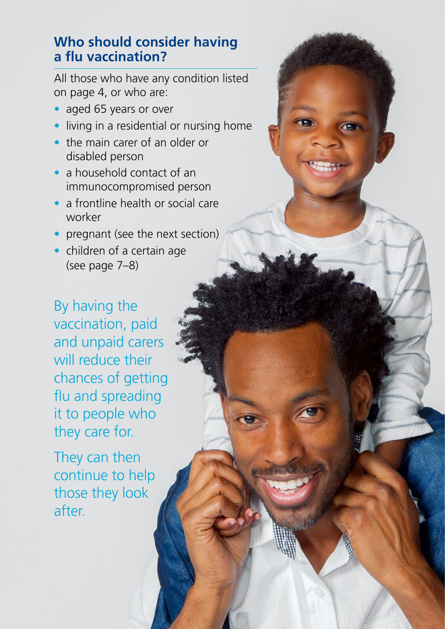#### **Who should consider having a flu vaccination?**

All those who have any condition listed on page 4, or who are:

- aged 65 years or over
- living in a residential or nursing home
- the main carer of an older or disabled person
- a household contact of an immunocompromised person
- a frontline health or social care worker
- pregnant (see the next section)
- children of a certain age (see page 7–8)

By having the vaccination, paid and unpaid carers will reduce their chances of getting flu and spreading it to people who they care for.

They can then continue to help those they look after.

The flu vaccination **– 5 –** Winter 2019/20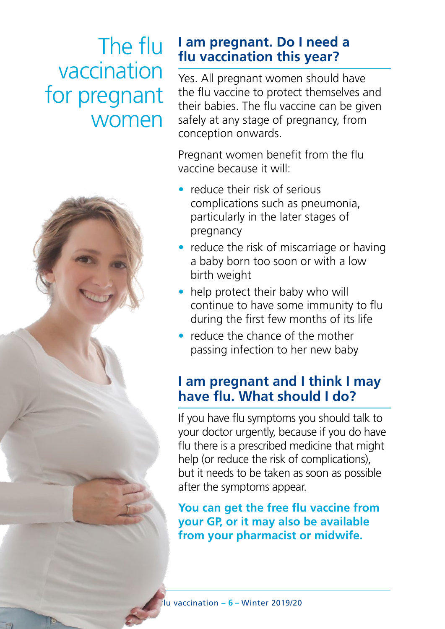# The flu vaccination for pregnant women



#### **I am pregnant. Do I need a flu vaccination this year?**

Yes. All pregnant women should have the flu vaccine to protect themselves and their babies. The flu vaccine can be given safely at any stage of pregnancy, from conception onwards.

Pregnant women benefit from the flu vaccine because it will:

- reduce their risk of serious complications such as pneumonia, particularly in the later stages of pregnancy
- reduce the risk of miscarriage or having a baby born too soon or with a low birth weight
- help protect their baby who will continue to have some immunity to flu during the first few months of its life
- reduce the chance of the mother passing infection to her new baby

# **I am pregnant and I think I may have flu. What should I do?**

If you have flu symptoms you should talk to your doctor urgently, because if you do have flu there is a prescribed medicine that might help (or reduce the risk of complications), but it needs to be taken as soon as possible after the symptoms appear.

**You can get the free flu vaccine from your GP, or it may also be available from your pharmacist or midwife.**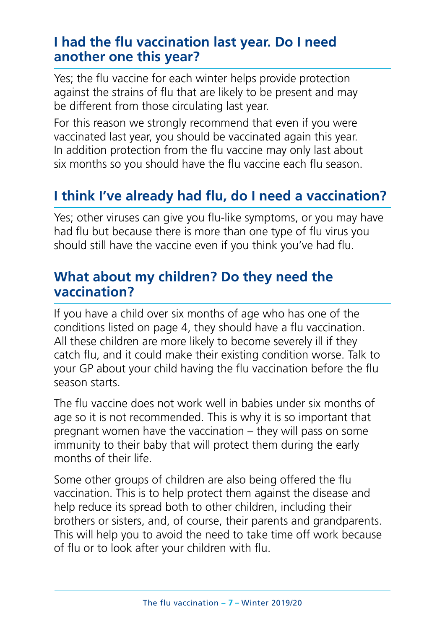#### **I had the flu vaccination last year. Do I need another one this year?**

Yes; the flu vaccine for each winter helps provide protection against the strains of flu that are likely to be present and may be different from those circulating last year.

For this reason we strongly recommend that even if you were vaccinated last year, you should be vaccinated again this year. In addition protection from the flu vaccine may only last about six months so you should have the flu vaccine each flu season.

# **I think I've already had flu, do I need a vaccination?**

Yes; other viruses can give you flu-like symptoms, or you may have had flu but because there is more than one type of flu virus you should still have the vaccine even if you think you've had flu.

#### **What about my children? Do they need the vaccination?**

If you have a child over six months of age who has one of the conditions listed on page 4, they should have a flu vaccination. All these children are more likely to become severely ill if they catch flu, and it could make their existing condition worse. Talk to your GP about your child having the flu vaccination before the flu season starts.

The flu vaccine does not work well in babies under six months of age so it is not recommended. This is why it is so important that pregnant women have the vaccination – they will pass on some immunity to their baby that will protect them during the early months of their life.

Some other groups of children are also being offered the flu vaccination. This is to help protect them against the disease and help reduce its spread both to other children, including their brothers or sisters, and, of course, their parents and grandparents. This will help you to avoid the need to take time off work because of flu or to look after your children with flu.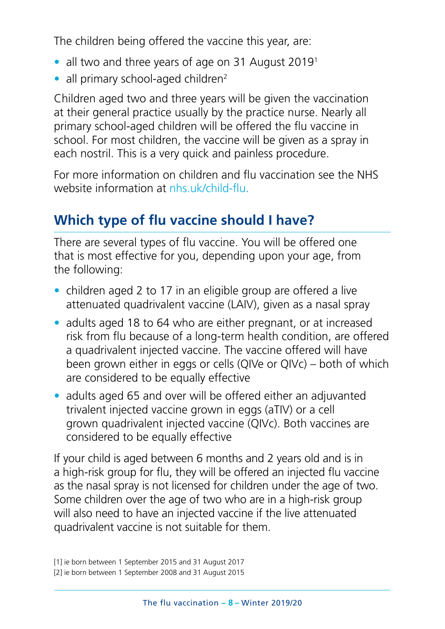The children being offered the vaccine this year, are:

- all two and three years of age on 31 August 2019<sup>1</sup>
- all primary school-aged children<sup>2</sup>

Children aged two and three years will be given the vaccination at their general practice usually by the practice nurse. Nearly all primary school-aged children will be offered the flu vaccine in school. For most children, the vaccine will be given as a spray in each nostril. This is a very quick and painless procedure.

For more information on children and flu vaccination see the NHS website information at nhs uk/child-flu.

# **Which type of flu vaccine should I have?**

There are several types of flu vaccine. You will be offered one that is most effective for you, depending upon your age, from the following:

- children aged 2 to 17 in an eligible group are offered a live attenuated quadrivalent vaccine (LAIV), given as a nasal spray
- adults aged 18 to 64 who are either pregnant, or at increased risk from flu because of a long-term health condition, are offered a quadrivalent injected vaccine. The vaccine offered will have been grown either in eggs or cells (QIVe or QIVc) – both of which are considered to be equally effective
- adults aged 65 and over will be offered either an adjuvanted trivalent injected vaccine grown in eggs (aTIV) or a cell grown quadrivalent injected vaccine (QIVc). Both vaccines are considered to be equally effective

If your child is aged between 6 months and 2 years old and is in a high-risk group for flu, they will be offered an injected flu vaccine as the nasal spray is not licensed for children under the age of two. Some children over the age of two who are in a high-risk group will also need to have an injected vaccine if the live attenuated quadrivalent vaccine is not suitable for them.

<sup>[1]</sup> ie born between 1 September 2015 and 31 August 2017

<sup>[2]</sup> ie born between 1 September 2008 and 31 August 2015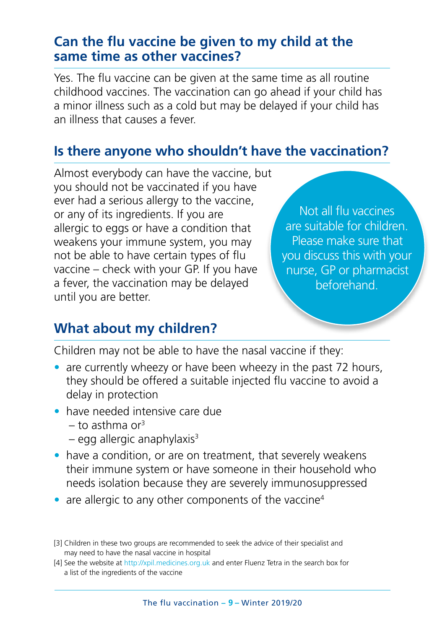#### **Can the flu vaccine be given to my child at the same time as other vaccines?**

Yes. The flu vaccine can be given at the same time as all routine childhood vaccines. The vaccination can go ahead if your child has a minor illness such as a cold but may be delayed if your child has an illness that causes a fever.

#### **Is there anyone who shouldn't have the vaccination?**

Almost everybody can have the vaccine, but you should not be vaccinated if you have ever had a serious allergy to the vaccine, or any of its ingredients. If you are allergic to eggs or have a condition that weakens your immune system, you may not be able to have certain types of flu vaccine – check with your GP. If you have a fever, the vaccination may be delayed until you are better.

Not all flu vaccines are suitable for children. Please make sure that you discuss this with your nurse, GP or pharmacist beforehand.

#### **What about my children?**

Children may not be able to have the nasal vaccine if they:

- are currently wheezy or have been wheezy in the past 72 hours, they should be offered a suitable injected flu vaccine to avoid a delay in protection
- have needed intensive care due
	- $-$  to asthma or<sup>3</sup>
	- $-$  egg allergic anaphylaxis $3$
- have a condition, or are on treatment, that severely weakens their immune system or have someone in their household who needs isolation because they are severely immunosuppressed
- are allergic to any other components of the vaccine<sup>4</sup>

<sup>[3]</sup> Children in these two groups are recommended to seek the advice of their specialist and may need to have the nasal vaccine in hospital

<sup>[4]</sup> See the website at [http://xpil.medicines.org.uk](ttp://xpil.medicines.org.uk) and enter Fluenz Tetra in the search box for a list of the ingredients of the vaccine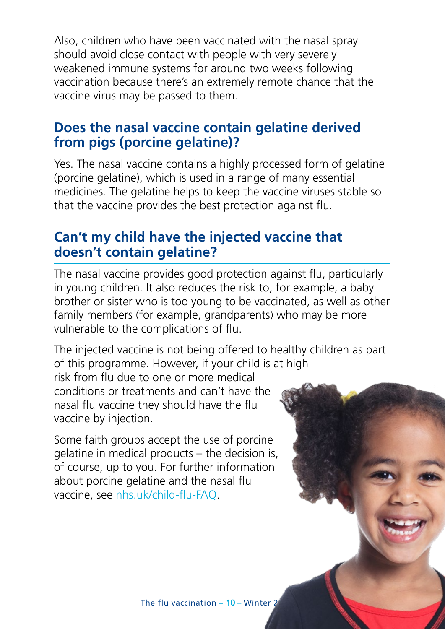Also, children who have been vaccinated with the nasal spray should avoid close contact with people with very severely weakened immune systems for around two weeks following vaccination because there's an extremely remote chance that the vaccine virus may be passed to them.

#### **Does the nasal vaccine contain gelatine derived from pigs (porcine gelatine)?**

Yes. The nasal vaccine contains a highly processed form of gelatine (porcine gelatine), which is used in a range of many essential medicines. The gelatine helps to keep the vaccine viruses stable so that the vaccine provides the best protection against flu.

#### **Can't my child have the injected vaccine that doesn't contain gelatine?**

The nasal vaccine provides good protection against flu, particularly in young children. It also reduces the risk to, for example, a baby brother or sister who is too young to be vaccinated, as well as other family members (for example, grandparents) who may be more vulnerable to the complications of flu.

The injected vaccine is not being offered to healthy children as part of this programme. However, if your child is at high

risk from flu due to one or more medical conditions or treatments and can't have the nasal flu vaccine they should have the flu vaccine by injection.

Some faith groups accept the use of porcine gelatine in medical products – the decision is, of course, up to you. For further information about porcine gelatine and the nasal flu vaccine, see [nhs.uk/child-flu-FAQ](https://www.nhs.uk/conditions/vaccinations/child-flu-vaccine-questions-and-answers/).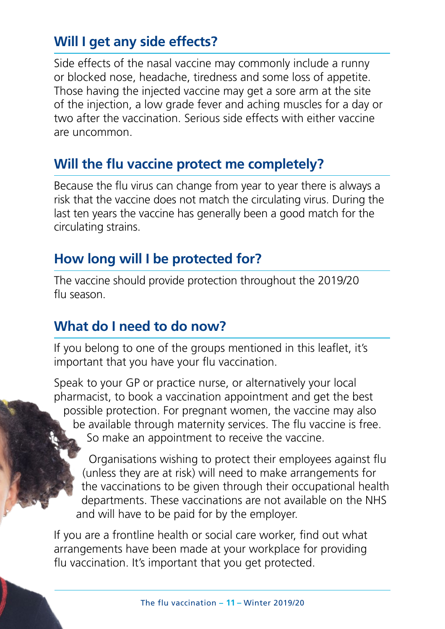## **Will I get any side effects?**

Side effects of the nasal vaccine may commonly include a runny or blocked nose, headache, tiredness and some loss of appetite. Those having the injected vaccine may get a sore arm at the site of the injection, a low grade fever and aching muscles for a day or two after the vaccination. Serious side effects with either vaccine are uncommon.

#### **Will the flu vaccine protect me completely?**

Because the flu virus can change from year to year there is always a risk that the vaccine does not match the circulating virus. During the last ten years the vaccine has generally been a good match for the circulating strains.

### **How long will I be protected for?**

The vaccine should provide protection throughout the 2019/20 flu season.

#### **What do I need to do now?**

If you belong to one of the groups mentioned in this leaflet, it's important that you have your flu vaccination.

Speak to your GP or practice nurse, or alternatively your local pharmacist, to book a vaccination appointment and get the best possible protection. For pregnant women, the vaccine may also be available through maternity services. The flu vaccine is free. So make an appointment to receive the vaccine.

Organisations wishing to protect their employees against flu (unless they are at risk) will need to make arrangements for the vaccinations to be given through their occupational health departments. These vaccinations are not available on the NHS and will have to be paid for by the employer.

If you are a frontline health or social care worker, find out what arrangements have been made at your workplace for providing flu vaccination. It's important that you get protected.